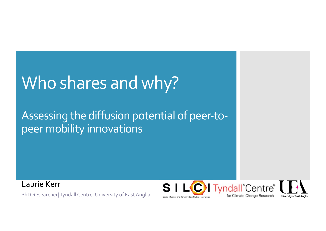## Who shares and why?

### Assessing the diffusion potential of peer-topeer mobility innovations

Laurie Kerr

PhD Researcher| Tyndall Centre, University of East Anglia

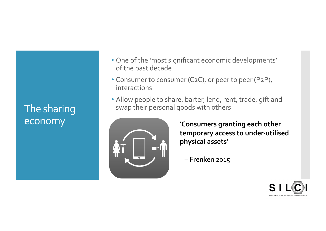### The sharing economy

- One of the 'most significant economic developments' of the past decade
- Consumer to consumer (C2C), or peer to peer (P2P), interactions
- Allow people to share, barter, lend, rent, trade, gift and swap their personal goods with others



'**Consumers granting each other temporary access to under-utilised physical assets**'

– Frenken 2015

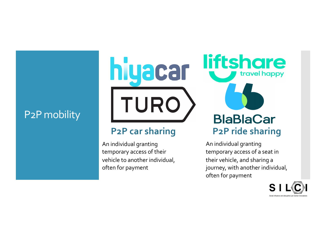### P2P mobility

**liftshare** hiyacar travel happy TURO

#### **P2P car sharing**

An individual granting temporary access of their vehicle to another individual, often for payment

### **BlaBlaCar P2P ride sharing**

An individual granting temporary access of a seat in their vehicle, and sharing a journey, with another individual, often for payment

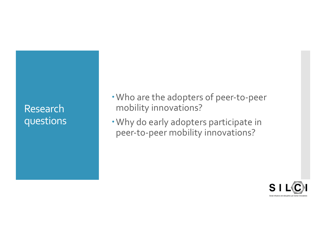### Research questions

- Who are the adopters of peer-to-peer mobility innovations?
- Why do early adopters participate in peer-to-peer mobility innovations?

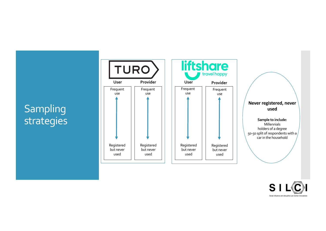### **Sampling** strategies



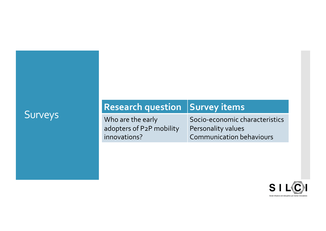# Surveys **Research question Survey items**

Who are the early adopters of P2P mobility innovations?

Socio -economic characteristics Personality values Communication behaviours

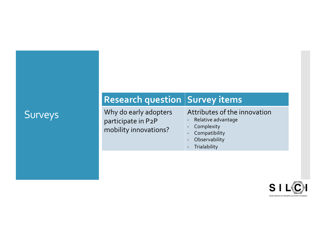### Surveys

Why do early adopters participate in P2P mobility innovations?

#### Attributes of the innovation

- Relative advantage Complexity
- 

**Research question Survey items** 

- **Compatibility**
- Observability Trialability
- 

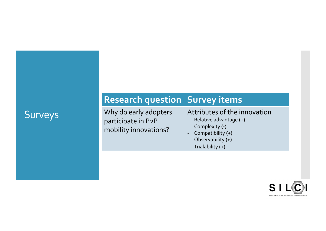### Surveys

Why do early adopters participate in P2P mobility innovations?

**Research question Survey items** 

#### Attributes of the innovation

- Relative advantage **(+)**
- Complexity **(-)**
- Compatibility **(+)**
- Observability **(+)**
- Trialability **(+)**

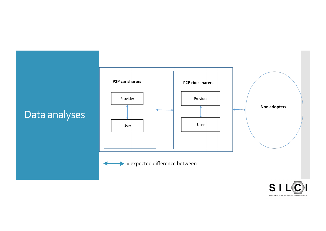

Social Influence and disruptive Low Carbon Innovations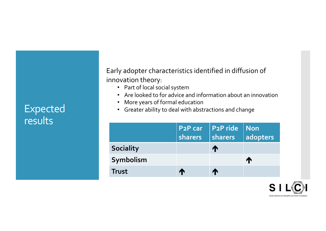### Expected results

Early adopter characteristics identified in diffusion of innovation theory:

- Part of local social system
- Are looked to for advice and information about an innovation
- More years of formal education
- Greater ability to deal with abstractions and change

|                  | P <sub>2</sub> P car<br>sharers | P2P ride<br>sharers | <b>Non</b><br>adopters |
|------------------|---------------------------------|---------------------|------------------------|
| <b>Sociality</b> |                                 | T                   |                        |
| Symbolism        |                                 |                     | ₼                      |
| <b>Trust</b>     |                                 | ₼                   |                        |

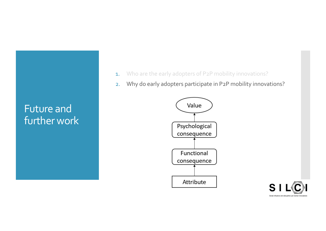### Future and further work

- 1. Who are the early adopters of P2P mobility innovations?
- 2. Why do early adopters participate in P2P mobility innovations?



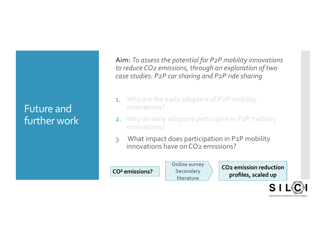### Future and further work

**Aim:** *To assess the potential for P2P mobility innovations to reduce CO2 emissions, through an exploration of two case studies: P2P car sharing and P2P ride sharing*

- **1.** Who are the early adopters of P2P mobility innovations?
- 2. Why do early adopters participate in P2P mobility innovations?
- 3. What impact does participation in P2P mobility innovations have on  $CO<sub>2</sub>$  emissions?

**CO² emissions?** 

**Online survey Secondary literature** 

**CO2 emission reduction profiles, scaled up**